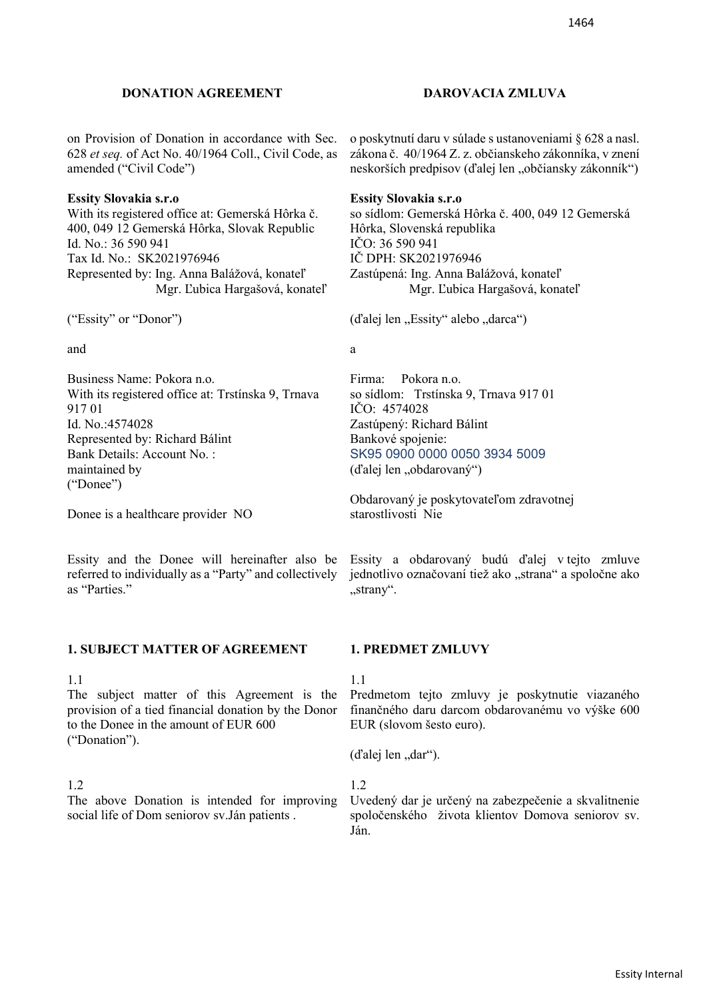## **DONATION AGREEMENT DAROVACIA ZMLUVA**

on Provision of Donation in accordance with Sec. 628 *et seq.* of Act No. 40/1964 Coll., Civil Code, as amended ("Civil Code")

## **Essity Slovakia s.r.o**

With its registered office at: Gemerská Hôrka č. 400, 049 12 Gemerská Hôrka, Slovak Republic Id. No.: 36 590 941 Tax Id. No.: SK2021976946 Represented by: Ing. Anna Balážová, konateľ Mgr. Ľubica Hargašová, konateľ

("Essity" or "Donor")

and a state of the state of the state  $\alpha$ 

Business Name: Pokora n.o. With its registered office at: Trstínska 9, Trnava 917 01 Id. No.:4574028 Represented by: Richard Bálint Bank Details: Account No. : maintained by ("Donee")

Donee is a healthcare provider NO

Essity and the Donee will hereinafter also be referred to individually as a "Party" and collectively as "Parties."

## **1. SUBJECT MATTER OF AGREEMENT 1. PREDMET ZMLUVY**

The subject matter of this Agreement is the provision of a tied financial donation by the Donor to the Donee in the amount of EUR 600 ("Donation").

The above Donation is intended for improving social life of Dom seniorov sv.Ján patients .

o poskytnutí daru v súlade s ustanoveniami § 628 a nasl. zákona č. 40/1964 Z. z. občianskeho zákonníka, v znení neskorších predpisov (ďalej len "občiansky zákonník")

## **Essity Slovakia s.r.o**

so sídlom: Gemerská Hôrka č. 400, 049 12 Gemerská Hôrka, Slovenská republika IČO: 36 590 941 IČ DPH: SK2021976946 Zastúpená: Ing. Anna Balážová, konateľ Mgr. Ľubica Hargašová, konateľ

(d'alej len "Essity" alebo "darca")

Firma: Pokora n.o. so sídlom: Trstínska 9, Trnava 917 01 IČO: 4574028 Zastúpený: Richard Bálint Bankové spojenie: SK95 0900 0000 0050 3934 5009  $(d'alej len, obdarovaný")$ 

Obdarovaný je poskytovateľom zdravotnej starostlivosti Nie

Essity a obdarovaný budú ďalej v tejto zmluve jednotlivo označovaní tiež ako "strana" a spoločne ako "strany".

## 1.1 1.1 1.1

Predmetom tejto zmluvy je poskytnutie viazaného finančného daru darcom obdarovanému vo výške 600 EUR (slovom šesto euro).

 $(d'alej len, dar'')$ .

1.2 1.2

Uvedený dar je určený na zabezpečenie a skvalitnenie spoločenského života klientov Domova seniorov sv. Ján.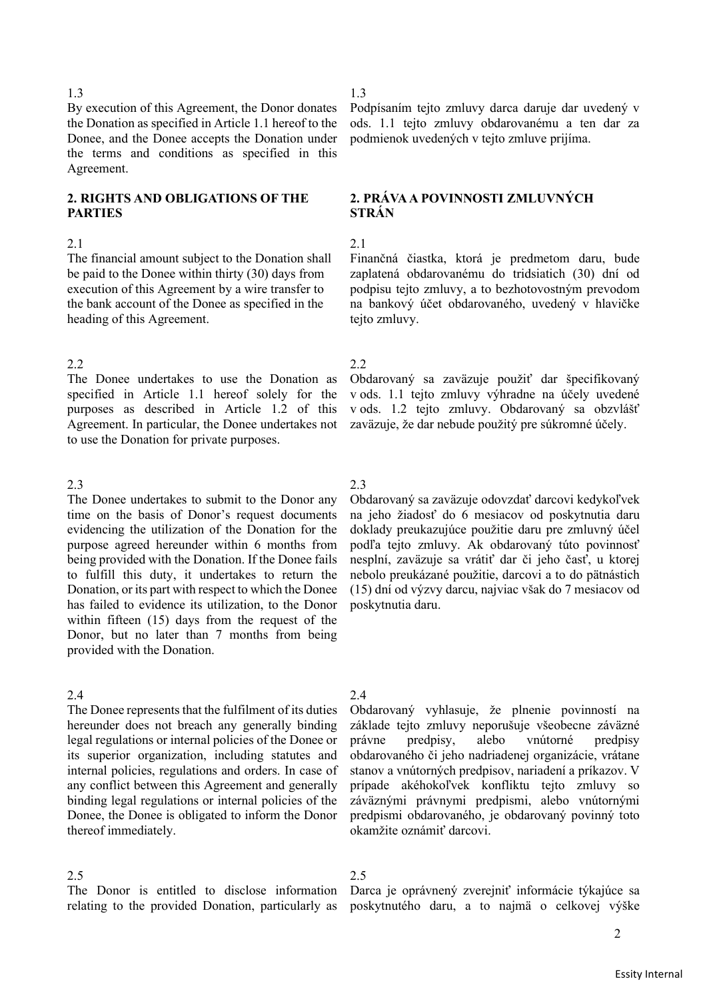By execution of this Agreement, the Donor donates the Donation as specified in Article 1.1 hereof to the Donee, and the Donee accepts the Donation under the terms and conditions as specified in this Agreement.

# **2. RIGHTS AND OBLIGATIONS OF THE PARTIES**

The financial amount subject to the Donation shall be paid to the Donee within thirty (30) days from execution of this Agreement by a wire transfer to the bank account of the Donee as specified in the heading of this Agreement.

## 2.2 2.2

The Donee undertakes to use the Donation as specified in Article 1.1 hereof solely for the purposes as described in Article 1.2 of this Agreement. In particular, the Donee undertakes not to use the Donation for private purposes.

## 2.3 2.3

The Donee undertakes to submit to the Donor any time on the basis of Donor's request documents evidencing the utilization of the Donation for the purpose agreed hereunder within 6 months from being provided with the Donation. If the Donee fails to fulfill this duty, it undertakes to return the Donation, or its part with respect to which the Donee has failed to evidence its utilization, to the Donor within fifteen (15) days from the request of the Donor, but no later than 7 months from being provided with the Donation.

The Donee represents that the fulfilment of its duties hereunder does not breach any generally binding legal regulations or internal policies of the Donee or its superior organization, including statutes and internal policies, regulations and orders. In case of any conflict between this Agreement and generally binding legal regulations or internal policies of the Donee, the Donee is obligated to inform the Donor thereof immediately.

The Donor is entitled to disclose information relating to the provided Donation, particularly as

## 1.3 1.3

Podpísaním tejto zmluvy darca daruje dar uvedený v ods. 1.1 tejto zmluvy obdarovanému a ten dar za podmienok uvedených v tejto zmluve prijíma.

# **2. PRÁVA A POVINNOSTI ZMLUVNÝCH STRÁN**

## $2.1$  2.1

Finančná čiastka, ktorá je predmetom daru, bude zaplatená obdarovanému do tridsiatich (30) dní od podpisu tejto zmluvy, a to bezhotovostným prevodom na bankový účet obdarovaného, uvedený v hlavičke tejto zmluvy.

Obdarovaný sa zaväzuje použiť dar špecifikovaný v ods. 1.1 tejto zmluvy výhradne na účely uvedené v ods. 1.2 tejto zmluvy. Obdarovaný sa obzvlášť zaväzuje, že dar nebude použitý pre súkromné účely.

Obdarovaný sa zaväzuje odovzdať darcovi kedykoľvek na jeho žiadosť do 6 mesiacov od poskytnutia daru doklady preukazujúce použitie daru pre zmluvný účel podľa tejto zmluvy. Ak obdarovaný túto povinnosť nesplní, zaväzuje sa vrátiť dar či jeho časť, u ktorej nebolo preukázané použitie, darcovi a to do pätnástich (15) dní od výzvy darcu, najviac však do 7 mesiacov od poskytnutia daru.

## 2.4 2.4

Obdarovaný vyhlasuje, že plnenie povinností na základe tejto zmluvy neporušuje všeobecne záväzné právne predpisy, alebo vnútorné predpisy obdarovaného či jeho nadriadenej organizácie, vrátane stanov a vnútorných predpisov, nariadení a príkazov. V prípade akéhokoľvek konfliktu tejto zmluvy so záväznými právnymi predpismi, alebo vnútornými predpismi obdarovaného, je obdarovaný povinný toto okamžite oznámiť darcovi.

# 2.5 2.5

Darca je oprávnený zverejniť informácie týkajúce sa poskytnutého daru, a to najmä o celkovej výške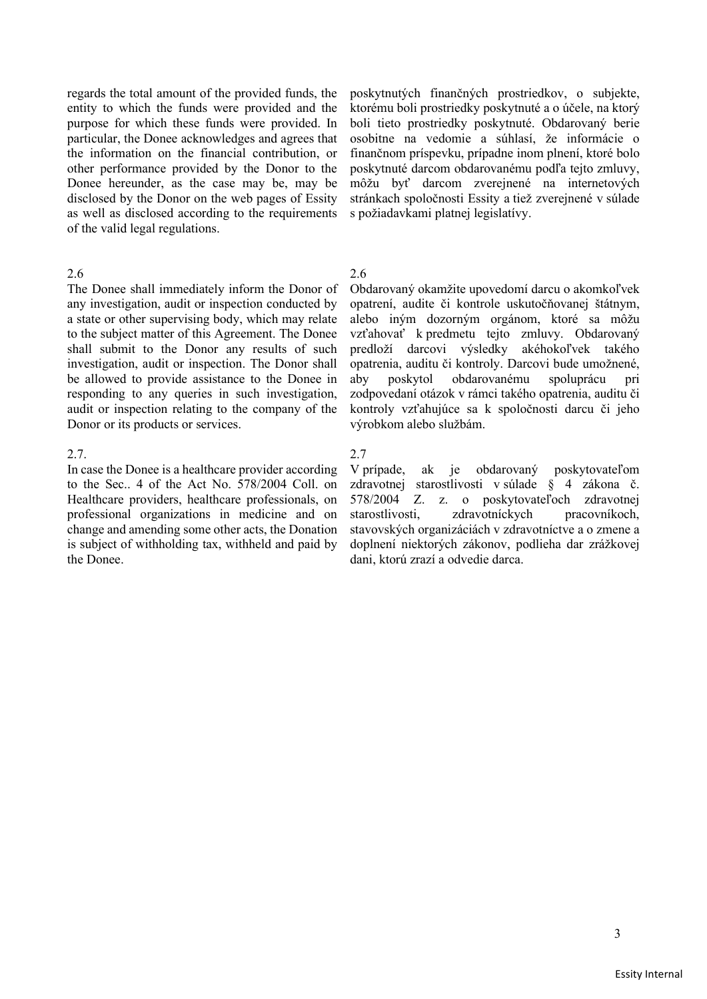regards the total amount of the provided funds, the entity to which the funds were provided and the purpose for which these funds were provided. In particular, the Donee acknowledges and agrees that the information on the financial contribution, or other performance provided by the Donor to the Donee hereunder, as the case may be, may be disclosed by the Donor on the web pages of Essity as well as disclosed according to the requirements of the valid legal regulations.

The Donee shall immediately inform the Donor of any investigation, audit or inspection conducted by a state or other supervising body, which may relate to the subject matter of this Agreement. The Donee shall submit to the Donor any results of such investigation, audit or inspection. The Donor shall be allowed to provide assistance to the Donee in responding to any queries in such investigation, audit or inspection relating to the company of the Donor or its products or services.

## 2.7.

In case the Donee is a healthcare provider according to the Sec.. 4 of the Act No. 578/2004 Coll. on Healthcare providers, healthcare professionals, on professional organizations in medicine and on change and amending some other acts, the Donation is subject of withholding tax, withheld and paid by the Donee.

poskytnutých finančných prostriedkov, o subjekte, ktorému boli prostriedky poskytnuté a o účele, na ktorý boli tieto prostriedky poskytnuté. Obdarovaný berie osobitne na vedomie a súhlasí, že informácie o finančnom príspevku, prípadne inom plnení, ktoré bolo poskytnuté darcom obdarovanému podľa tejto zmluvy, môžu byť darcom zverejnené na internetových stránkach spoločnosti Essity a tiež zverejnené v súlade s požiadavkami platnej legislatívy.

# 2.6 2.6

Obdarovaný okamžite upovedomí darcu o akomkoľvek opatrení, audite či kontrole uskutočňovanej štátnym, alebo iným dozorným orgánom, ktoré sa môžu vzťahovať k predmetu tejto zmluvy. Obdarovaný predloží darcovi výsledky akéhokoľvek takého opatrenia, auditu či kontroly. Darcovi bude umožnené, aby poskytol obdarovanému spoluprácu pri zodpovedaní otázok v rámci takého opatrenia, auditu či kontroly vzťahujúce sa k spoločnosti darcu či jeho výrobkom alebo službám.

## 2.7

V prípade, ak je obdarovaný poskytovateľom zdravotnej starostlivosti v súlade § 4 zákona č. 578/2004 Z. z. o poskytovateľoch zdravotnej starostlivosti, zdravotníckych pracovníkoch, stavovských organizáciách v zdravotníctve a o zmene a doplnení niektorých zákonov, podlieha dar zrážkovej dani, ktorú zrazí a odvedie darca.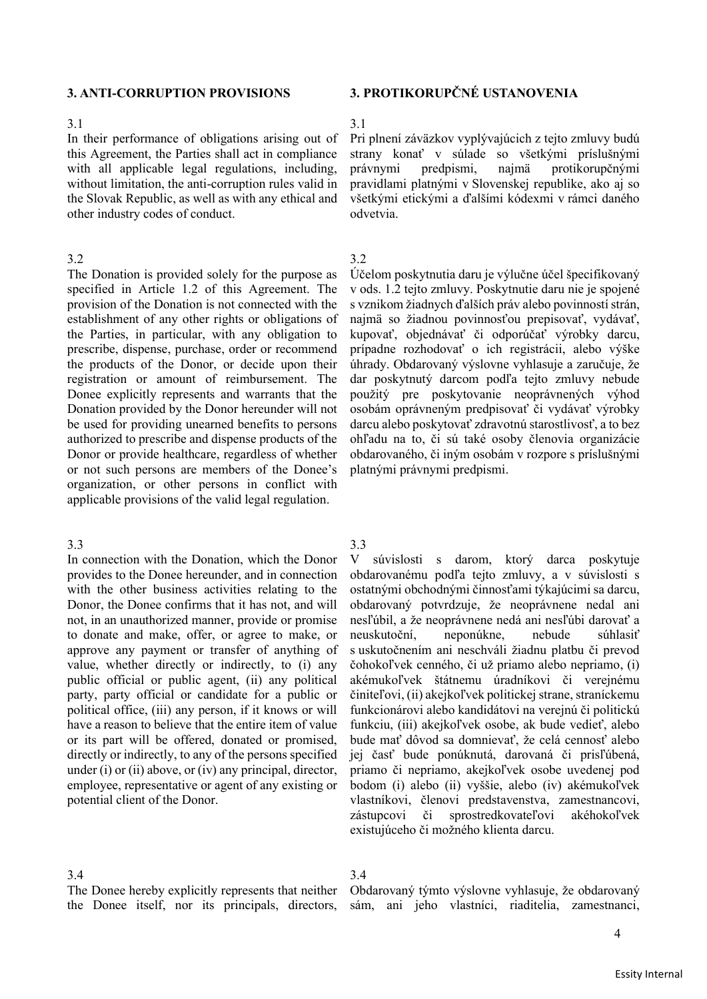In their performance of obligations arising out of this Agreement, the Parties shall act in compliance with all applicable legal regulations, including, without limitation, the anti-corruption rules valid in the Slovak Republic, as well as with any ethical and other industry codes of conduct.

## 3.2 3.2

The Donation is provided solely for the purpose as specified in Article 1.2 of this Agreement. The provision of the Donation is not connected with the establishment of any other rights or obligations of the Parties, in particular, with any obligation to prescribe, dispense, purchase, order or recommend the products of the Donor, or decide upon their registration or amount of reimbursement. The Donee explicitly represents and warrants that the Donation provided by the Donor hereunder will not be used for providing unearned benefits to persons authorized to prescribe and dispense products of the Donor or provide healthcare, regardless of whether or not such persons are members of the Donee's organization, or other persons in conflict with applicable provisions of the valid legal regulation.

## 3.3 3.3

In connection with the Donation, which the Donor provides to the Donee hereunder, and in connection with the other business activities relating to the Donor, the Donee confirms that it has not, and will not, in an unauthorized manner, provide or promise to donate and make, offer, or agree to make, or approve any payment or transfer of anything of value, whether directly or indirectly, to (i) any public official or public agent, (ii) any political party, party official or candidate for a public or political office, (iii) any person, if it knows or will have a reason to believe that the entire item of value or its part will be offered, donated or promised, directly or indirectly, to any of the persons specified under (i) or (ii) above, or (iv) any principal, director, employee, representative or agent of any existing or potential client of the Donor.

# **3. ANTI-CORRUPTION PROVISIONS 3. PROTIKORUPČNÉ USTANOVENIA**

## 3.1 3.1

Pri plnení záväzkov vyplývajúcich z tejto zmluvy budú strany konať v súlade so všetkými príslušnými právnymi predpismi, najmä protikorupčnými pravidlami platnými v Slovenskej republike, ako aj so všetkými etickými a ďalšími kódexmi v rámci daného odvetvia.

Účelom poskytnutia daru je výlučne účel špecifikovaný v ods. 1.2 tejto zmluvy. Poskytnutie daru nie je spojené s vznikom žiadnych ďalších práv alebo povinností strán, najmä so žiadnou povinnosťou prepisovať, vydávať, kupovať, objednávať či odporúčať výrobky darcu, prípadne rozhodovať o ich registrácii, alebo výške úhrady. Obdarovaný výslovne vyhlasuje a zaručuje, že dar poskytnutý darcom podľa tejto zmluvy nebude použitý pre poskytovanie neoprávnených výhod osobám oprávneným predpisovať či vydávať výrobky darcu alebo poskytovať zdravotnú starostlivosť, a to bez ohľadu na to, či sú také osoby členovia organizácie obdarovaného, či iným osobám v rozpore s príslušnými platnými právnymi predpismi.

V súvislosti s darom, ktorý darca poskytuje obdarovanému podľa tejto zmluvy, a v súvislosti s ostatnými obchodnými činnosťami týkajúcimi sa darcu, obdarovaný potvrdzuje, že neoprávnene nedal ani nesľúbil, a že neoprávnene nedá ani nesľúbi darovať a neuskutoční, neponúkne, nebude súhlasiť s uskutočnením ani neschváli žiadnu platbu či prevod čohokoľvek cenného, či už priamo alebo nepriamo, (i) akémukoľvek štátnemu úradníkovi či verejnému činiteľovi, (ii) akejkoľvek politickej strane, straníckemu funkcionárovi alebo kandidátovi na verejnú či politickú funkciu, (iii) akejkoľvek osobe, ak bude vedieť, alebo bude mať dôvod sa domnievať, že celá cennosť alebo jej časť bude ponúknutá, darovaná či prisľúbená, priamo či nepriamo, akejkoľvek osobe uvedenej pod bodom (i) alebo (ii) vyššie, alebo (iv) akémukoľvek vlastníkovi, členovi predstavenstva, zamestnancovi, zástupcovi či sprostredkovateľovi akéhokoľvek existujúceho či možného klienta darcu.

## 3.4 3.4

The Donee hereby explicitly represents that neither the Donee itself, nor its principals, directors,

Obdarovaný týmto výslovne vyhlasuje, že obdarovaný sám, ani jeho vlastníci, riaditelia, zamestnanci,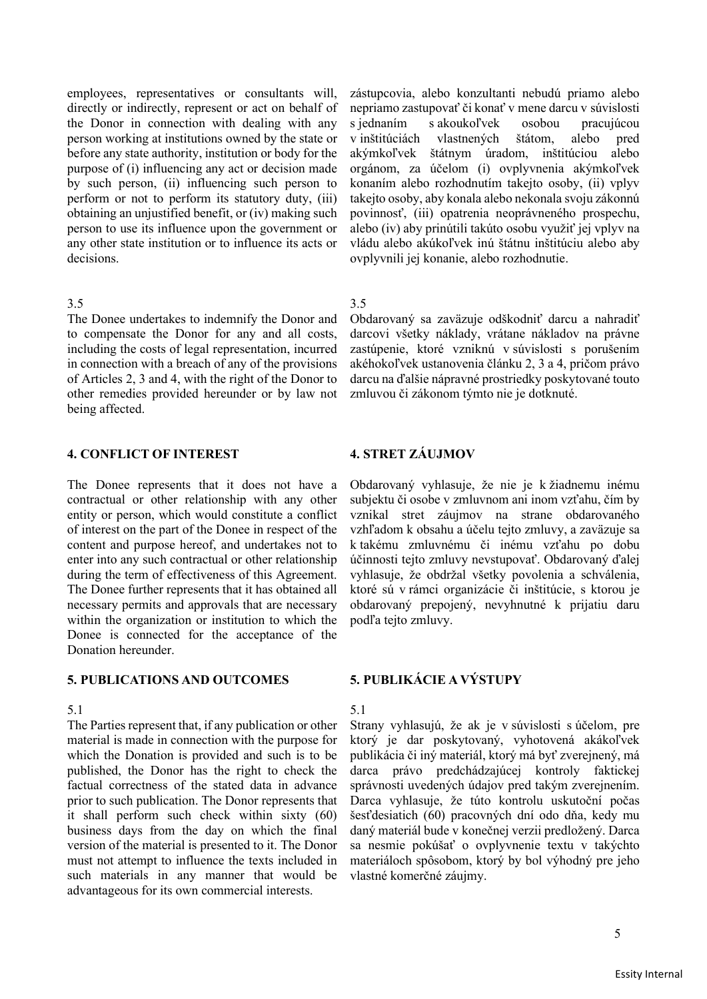employees, representatives or consultants will, directly or indirectly, represent or act on behalf of the Donor in connection with dealing with any person working at institutions owned by the state or before any state authority, institution or body for the purpose of (i) influencing any act or decision made by such person, (ii) influencing such person to perform or not to perform its statutory duty, (iii) obtaining an unjustified benefit, or (iv) making such person to use its influence upon the government or any other state institution or to influence its acts or decisions.

## $3.5$   $3.5$

The Donee undertakes to indemnify the Donor and to compensate the Donor for any and all costs, including the costs of legal representation, incurred in connection with a breach of any of the provisions of Articles 2, 3 and 4, with the right of the Donor to other remedies provided hereunder or by law not being affected.

# **4. CONFLICT OF INTEREST 4. STRET ZÁUJMOV**

The Donee represents that it does not have a contractual or other relationship with any other entity or person, which would constitute a conflict of interest on the part of the Donee in respect of the content and purpose hereof, and undertakes not to enter into any such contractual or other relationship during the term of effectiveness of this Agreement. The Donee further represents that it has obtained all necessary permits and approvals that are necessary within the organization or institution to which the Donee is connected for the acceptance of the Donation hereunder.

## **5. PUBLICATIONS AND OUTCOMES 5. PUBLIKÁCIE A VÝSTUPY**

# 5.1 5.1

The Parties represent that, if any publication or other material is made in connection with the purpose for which the Donation is provided and such is to be published, the Donor has the right to check the factual correctness of the stated data in advance prior to such publication. The Donor represents that it shall perform such check within sixty (60) business days from the day on which the final version of the material is presented to it. The Donor must not attempt to influence the texts included in such materials in any manner that would be advantageous for its own commercial interests.

zástupcovia, alebo konzultanti nebudú priamo alebo nepriamo zastupovať či konať v mene darcu v súvislosti s jednaním s akoukoľvek osobou pracujúcou v inštitúciách vlastnených štátom, alebo pred akýmkoľvek štátnym úradom, inštitúciou alebo orgánom, za účelom (i) ovplyvnenia akýmkoľvek konaním alebo rozhodnutím takejto osoby, (ii) vplyv takejto osoby, aby konala alebo nekonala svoju zákonnú povinnosť, (iii) opatrenia neoprávneného prospechu, alebo (iv) aby prinútili takúto osobu využiť jej vplyv na vládu alebo akúkoľvek inú štátnu inštitúciu alebo aby ovplyvnili jej konanie, alebo rozhodnutie.

Obdarovaný sa zaväzuje odškodniť darcu a nahradiť darcovi všetky náklady, vrátane nákladov na právne zastúpenie, ktoré vzniknú v súvislosti s porušením akéhokoľvek ustanovenia článku 2, 3 a 4, pričom právo darcu na ďalšie nápravné prostriedky poskytované touto zmluvou či zákonom týmto nie je dotknuté.

Obdarovaný vyhlasuje, že nie je k žiadnemu inému subjektu či osobe v zmluvnom ani inom vzťahu, čím by vznikal stret záujmov na strane obdarovaného vzhľadom k obsahu a účelu tejto zmluvy, a zaväzuje sa k takému zmluvnému či inému vzťahu po dobu účinnosti tejto zmluvy nevstupovať. Obdarovaný ďalej vyhlasuje, že obdržal všetky povolenia a schválenia, ktoré sú v rámci organizácie či inštitúcie, s ktorou je obdarovaný prepojený, nevyhnutné k prijatiu daru podľa tejto zmluvy.

Strany vyhlasujú, že ak je v súvislosti s účelom, pre ktorý je dar poskytovaný, vyhotovená akákoľvek publikácia či iný materiál, ktorý má byť zverejnený, má darca právo predchádzajúcej kontroly faktickej správnosti uvedených údajov pred takým zverejnením. Darca vyhlasuje, že túto kontrolu uskutoční počas šesťdesiatich (60) pracovných dní odo dňa, kedy mu daný materiál bude v konečnej verzii predložený. Darca sa nesmie pokúšať o ovplyvnenie textu v takýchto materiáloch spôsobom, ktorý by bol výhodný pre jeho vlastné komerčné záujmy.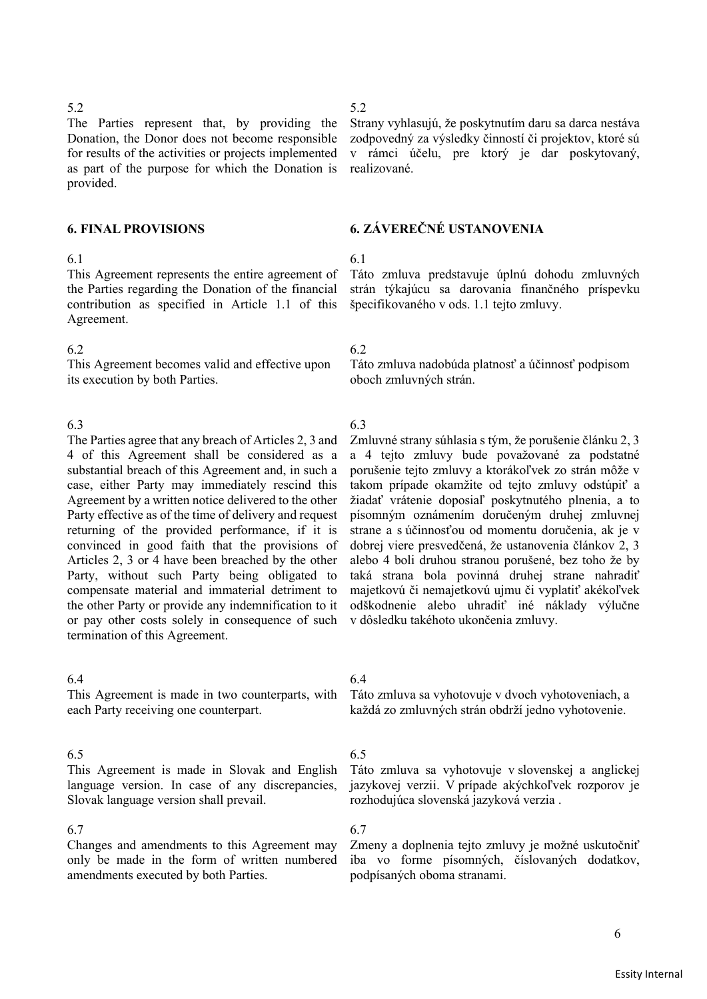The Parties represent that, by providing the Donation, the Donor does not become responsible for results of the activities or projects implemented as part of the purpose for which the Donation is provided.

# 6.1 6.1

This Agreement represents the entire agreement of the Parties regarding the Donation of the financial contribution as specified in Article 1.1 of this Agreement.

# 6.2 6.2

This Agreement becomes valid and effective upon its execution by both Parties.

The Parties agree that any breach of Articles 2, 3 and 4 of this Agreement shall be considered as a substantial breach of this Agreement and, in such a case, either Party may immediately rescind this Agreement by a written notice delivered to the other Party effective as of the time of delivery and request returning of the provided performance, if it is convinced in good faith that the provisions of Articles 2, 3 or 4 have been breached by the other Party, without such Party being obligated to compensate material and immaterial detriment to the other Party or provide any indemnification to it or pay other costs solely in consequence of such termination of this Agreement.

# 6.4 6.4

This Agreement is made in two counterparts, with each Party receiving one counterpart.

# 6.5 6.5

This Agreement is made in Slovak and English language version. In case of any discrepancies, Slovak language version shall prevail.

# 6.7 6.7

Changes and amendments to this Agreement may only be made in the form of written numbered amendments executed by both Parties.

Strany vyhlasujú, že poskytnutím daru sa darca nestáva zodpovedný za výsledky činností či projektov, ktoré sú v rámci účelu, pre ktorý je dar poskytovaný, realizované.

# **6. FINAL PROVISIONS 6. ZÁVEREČNÉ USTANOVENIA**

Táto zmluva predstavuje úplnú dohodu zmluvných strán týkajúcu sa darovania finančného príspevku špecifikovaného v ods. 1.1 tejto zmluvy.

Táto zmluva nadobúda platnosť a účinnosť podpisom oboch zmluvných strán.

# 6.3 6.3

Zmluvné strany súhlasia s tým, že porušenie článku 2, 3 a 4 tejto zmluvy bude považované za podstatné porušenie tejto zmluvy a ktorákoľvek zo strán môže v takom prípade okamžite od tejto zmluvy odstúpiť a žiadať vrátenie doposiaľ poskytnutého plnenia, a to písomným oznámením doručeným druhej zmluvnej strane a s účinnosťou od momentu doručenia, ak je v dobrej viere presvedčená, že ustanovenia článkov 2, 3 alebo 4 boli druhou stranou porušené, bez toho že by taká strana bola povinná druhej strane nahradiť majetkovú či nemajetkovú ujmu či vyplatiť akékoľvek odškodnenie alebo uhradiť iné náklady výlučne v dôsledku takéhoto ukončenia zmluvy.

Táto zmluva sa vyhotovuje v dvoch vyhotoveniach, a každá zo zmluvných strán obdrží jedno vyhotovenie.

Táto zmluva sa vyhotovuje v slovenskej a anglickej jazykovej verzii. V prípade akýchkoľvek rozporov je rozhodujúca slovenská jazyková verzia .

Zmeny a doplnenia tejto zmluvy je možné uskutočniť iba vo forme písomných, číslovaných dodatkov, podpísaných oboma stranami.